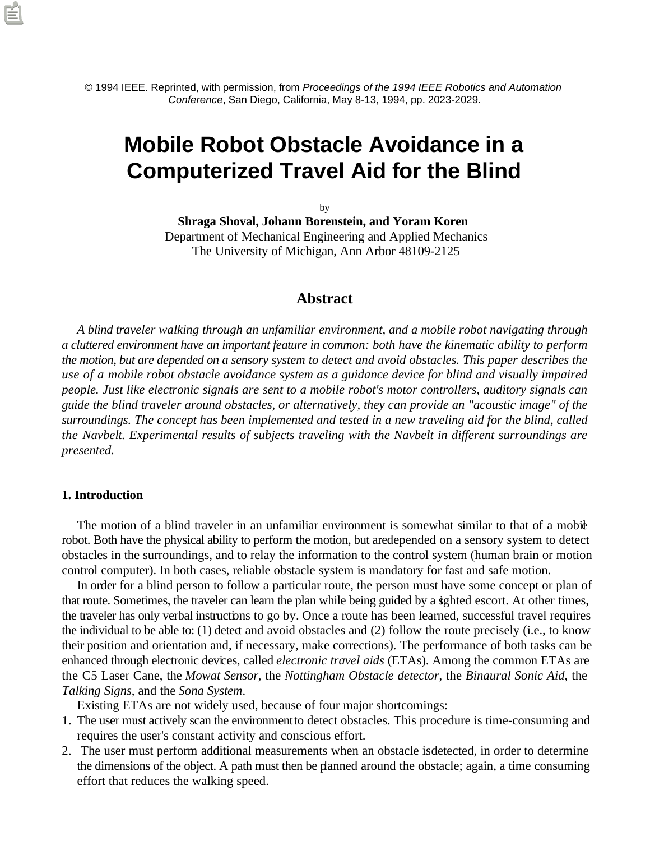© 1994 IEEE. Reprinted, with permission, from *Proceedings of the 1994 IEEE Robotics and Automation Conference*, San Diego, California, May 8-13, 1994, pp. 2023-2029.

# **Mobile Robot Obstacle Avoidance in a Computerized Travel Aid for the Blind**

by

**Shraga Shoval, Johann Borenstein, and Yoram Koren** Department of Mechanical Engineering and Applied Mechanics The University of Michigan, Ann Arbor 48109-2125

# **Abstract**

*A blind traveler walking through an unfamiliar environment, and a mobile robot navigating through a cluttered environment have an important feature in common: both have the kinematic ability to perform the motion, but are depended on a sensory system to detect and avoid obstacles. This paper describes the use of a mobile robot obstacle avoidance system as a guidance device for blind and visually impaired people. Just like electronic signals are sent to a mobile robot's motor controllers, auditory signals can guide the blind traveler around obstacles, or alternatively, they can provide an "acoustic image" of the surroundings. The concept has been implemented and tested in a new traveling aid for the blind, called the Navbelt. Experimental results of subjects traveling with the Navbelt in different surroundings are presented.*

## **1. Introduction**

The motion of a blind traveler in an unfamiliar environment is somewhat similar to that of a mobile robot. Both have the physical ability to perform the motion, but are depended on a sensory system to detect obstacles in the surroundings, and to relay the information to the control system (human brain or motion control computer). In both cases, reliable obstacle system is mandatory for fast and safe motion.

In order for a blind person to follow a particular route, the person must have some concept or plan of that route. Sometimes, the traveler can learn the plan while being guided by a sighted escort. At other times, the traveler has only verbal instructions to go by. Once a route has been learned, successful travel requires the individual to be able to: (1) detect and avoid obstacles and (2) follow the route precisely (i.e., to know their position and orientation and, if necessary, make corrections). The performance of both tasks can be enhanced through electronic devices, called *electronic travel aids* (ETAs). Among the common ETAs are the C5 Laser Cane, the *Mowat Sensor*, the *Nottingham Obstacle detector*, the *Binaural Sonic Aid*, the *Talking Signs*, and the *Sona System*.

Existing ETAs are not widely used, because of four major shortcomings:

- 1. The user must actively scan the environment to detect obstacles. This procedure is time-consuming and requires the user's constant activity and conscious effort.
- 2. The user must perform additional measurements when an obstacle is detected, in order to determine the dimensions of the object. A path must then be planned around the obstacle; again, a time consuming effort that reduces the walking speed.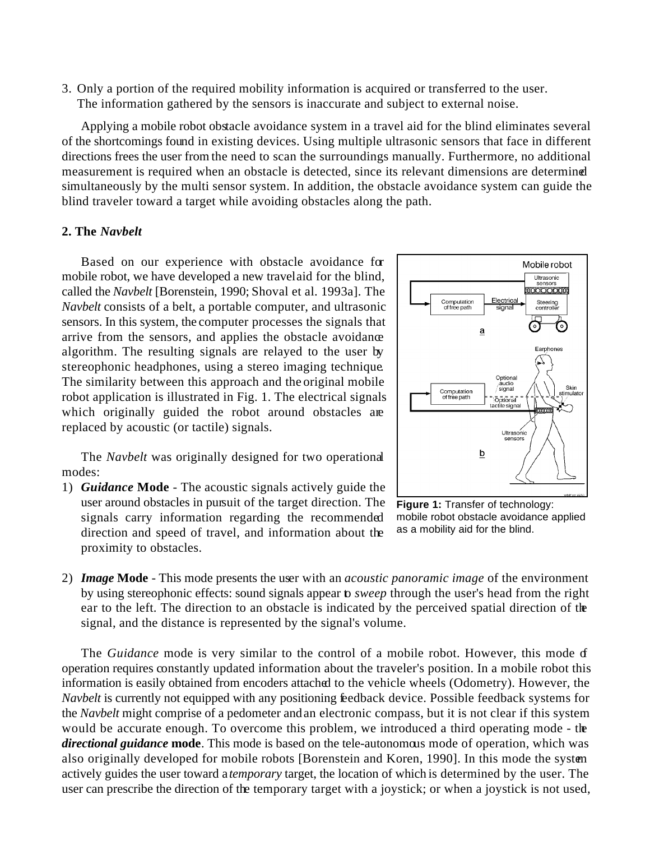3. Only a portion of the required mobility information is acquired or transferred to the user. The information gathered by the sensors is inaccurate and subject to external noise.

Applying a mobile robot obstacle avoidance system in a travel aid for the blind eliminates several of the shortcomings found in existing devices. Using multiple ultrasonic sensors that face in different directions frees the user from the need to scan the surroundings manually. Furthermore, no additional measurement is required when an obstacle is detected, since its relevant dimensions are determined simultaneously by the multi sensor system. In addition, the obstacle avoidance system can guide the blind traveler toward a target while avoiding obstacles along the path.

# **2. The** *Navbelt*

Based on our experience with obstacle avoidance for mobile robot, we have developed a new travel aid for the blind, called the *Navbelt* [Borenstein, 1990; Shoval et al. 1993a]. The *Navbelt* consists of a belt, a portable computer, and ultrasonic sensors. In this system, the computer processes the signals that arrive from the sensors, and applies the obstacle avoidance algorithm. The resulting signals are relayed to the user by stereophonic headphones, using a stereo imaging technique. The similarity between this approach and the original mobile robot application is illustrated in Fig. 1. The electrical signals which originally guided the robot around obstacles are replaced by acoustic (or tactile) signals.

The *Navbelt* was originally designed for two operational modes:

1) *Guidance* **Mode** - The acoustic signals actively guide the user around obstacles in pursuit of the target direction. The signals carry information regarding the recommended direction and speed of travel, and information about the proximity to obstacles.



**Figure 1:** Transfer of technology: mobile robot obstacle avoidance applied as a mobility aid for the blind.

2) *Image* **Mode** - This mode presents the user with an *acoustic panoramic image* of the environment by using stereophonic effects: sound signals appear to *sweep* through the user's head from the right ear to the left. The direction to an obstacle is indicated by the perceived spatial direction of the signal, and the distance is represented by the signal's volume.

The *Guidance* mode is very similar to the control of a mobile robot. However, this mode of operation requires constantly updated information about the traveler's position. In a mobile robot this information is easily obtained from encoders attached to the vehicle wheels (Odometry). However, the *Navbelt* is currently not equipped with any positioning feedback device. Possible feedback systems for the *Navbelt* might comprise of a pedometer and an electronic compass, but it is not clear if this system would be accurate enough. To overcome this problem, we introduced a third operating mode - the *directional guidance* **mode**. This mode is based on the tele-autonomous mode of operation, which was also originally developed for mobile robots [Borenstein and Koren, 1990]. In this mode the system actively guides the user toward a *temporary* target, the location of which is determined by the user. The user can prescribe the direction of the temporary target with a joystick; or when a joystick is not used,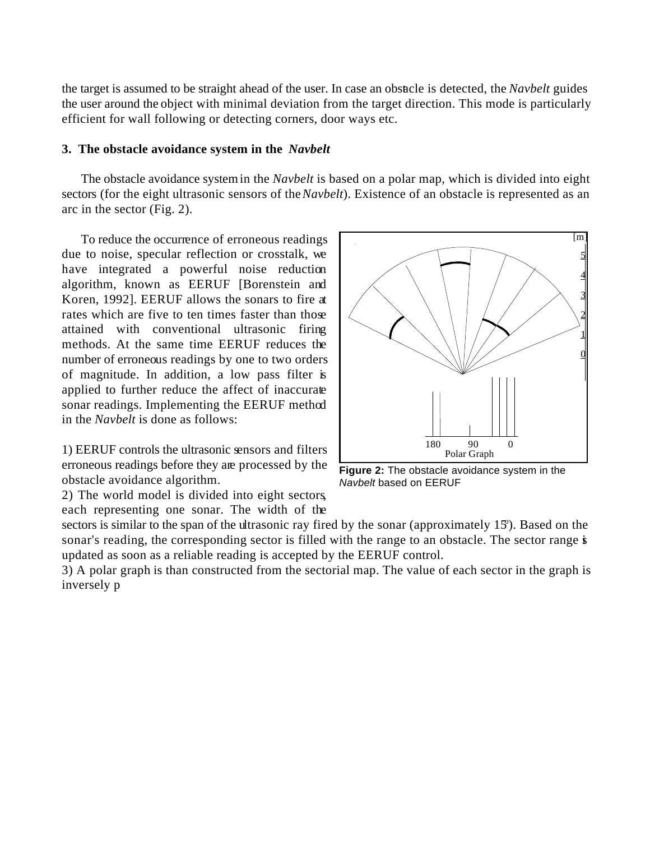the target is assumed to be straight ahead of the user. In case an obstacle is detected, the *Navbelt* guides the user around the object with minimal deviation from the target direction. This mode is particularly efficient for wall following or detecting corners, door ways etc.

## **3. The obstacle avoidance system in the** *Navbelt*

The obstacle avoidance system in the *Navbelt* is based on a polar map, which is divided into eight sectors (for the eight ultrasonic sensors of the *Navbelt*). Existence of an obstacle is represented as an arc in the sector (Fig. 2).

To reduce the occurrence of erroneous readings due to noise, specular reflection or crosstalk, we have integrated a powerful noise reduction algorithm, known as EERUF [Borenstein and Koren, 1992]. EERUF allows the sonars to fire at rates which are five to ten times faster than those attained with conventional ultrasonic firing methods. At the same time EERUF reduces the number of erroneous readings by one to two orders of magnitude. In addition, a low pass filter is applied to further reduce the affect of inaccurate sonar readings. Implementing the EERUF method in the *Navbelt* is done as follows:

1) EERUF controls the ultrasonic sensors and filters erroneous readings before they are processed by the obstacle avoidance algorithm.

2) The world model is divided into eight sectors, each representing one sonar. The width of the



**Figure 2:** The obstacle avoidance system in the *Navbelt* based on EERUF

sectors is similar to the span of the ultrasonic ray fired by the sonar (approximately  $15$ ). Based on the sonar's reading, the corresponding sector is filled with the range to an obstacle. The sector range is updated as soon as a reliable reading is accepted by the EERUF control.

3) A polar graph is than constructed from the sectorial map. The value of each sector in the graph is inversely p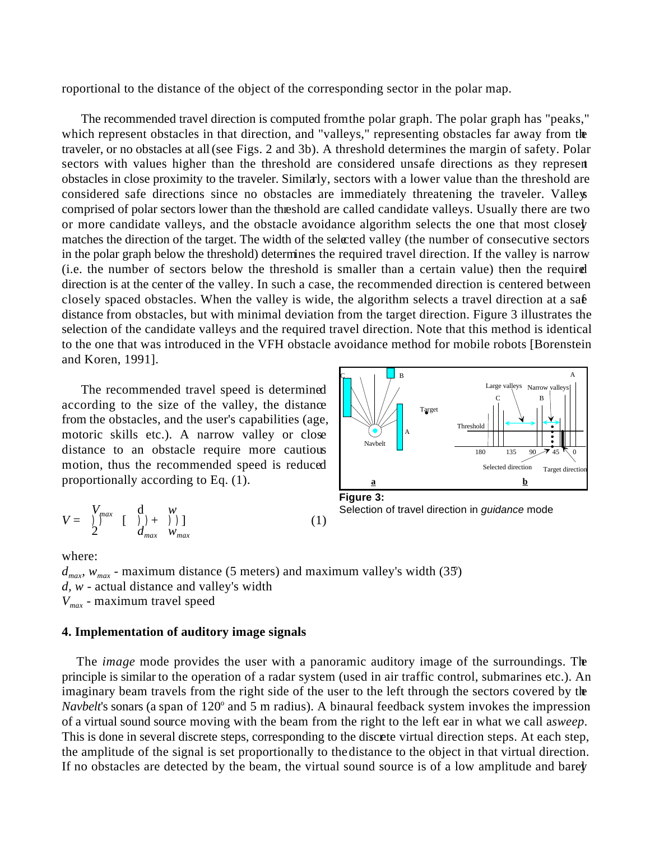roportional to the distance of the object of the corresponding sector in the polar map.

The recommended travel direction is computed from the polar graph. The polar graph has "peaks," which represent obstacles in that direction, and "valleys," representing obstacles far away from the traveler, or no obstacles at all (see Figs. 2 and 3b). A threshold determines the margin of safety. Polar sectors with values higher than the threshold are considered unsafe directions as they represent obstacles in close proximity to the traveler. Similarly, sectors with a lower value than the threshold are considered safe directions since no obstacles are immediately threatening the traveler. Valleys comprised of polar sectors lower than the threshold are called candidate valleys. Usually there are two or more candidate valleys, and the obstacle avoidance algorithm selects the one that most closely matches the direction of the target. The width of the selected valley (the number of consecutive sectors in the polar graph below the threshold) determines the required travel direction. If the valley is narrow (i.e. the number of sectors below the threshold is smaller than a certain value) then the required direction is at the center of the valley. In such a case, the recommended direction is centered between closely spaced obstacles. When the valley is wide, the algorithm selects a travel direction at a sa $\hat{\bf{e}}$ distance from obstacles, but with minimal deviation from the target direction. Figure 3 illustrates the selection of the candidate valleys and the required travel direction. Note that this method is identical to the one that was introduced in the VFH obstacle avoidance method for mobile robots [Borenstein and Koren, 1991].

The recommended travel speed is determined according to the size of the valley, the distance from the obstacles, and the user's capabilities (age, motoric skills etc.). A narrow valley or close distance to an obstacle require more cautious motion, thus the recommended speed is reduced proportionally according to Eq. (1).

$$
V = \begin{cases} V_{max} & \text{if } \mathcal{V} & \text{if } \mathcal{V} \\ 2 & \text{if } \mathcal{V}_{max} & \mathcal{W}_{max} \end{cases} \tag{1}
$$



**Figure 3:** Selection of travel direction in *guidance* mode

where:

 $d_{max}$ ,  $w_{max}$  - maximum distance (5 meters) and maximum valley's width (35) *d, w* - actual distance and valley's width *Vmax* - maximum travel speed

## **4. Implementation of auditory image signals**

The *image* mode provides the user with a panoramic auditory image of the surroundings. The principle is similar to the operation of a radar system (used in air traffic control, submarines etc.). An imaginary beam travels from the right side of the user to the left through the sectors covered by the *Navbelt*'s sonars (a span of 120<sup>°</sup> and 5 m radius). A binaural feedback system invokes the impression of a virtual sound source moving with the beam from the right to the left ear in what we call a *sweep*. This is done in several discrete steps, corresponding to the discrete virtual direction steps. At each step, the amplitude of the signal is set proportionally to the distance to the object in that virtual direction. If no obstacles are detected by the beam, the virtual sound source is of a low amplitude and barely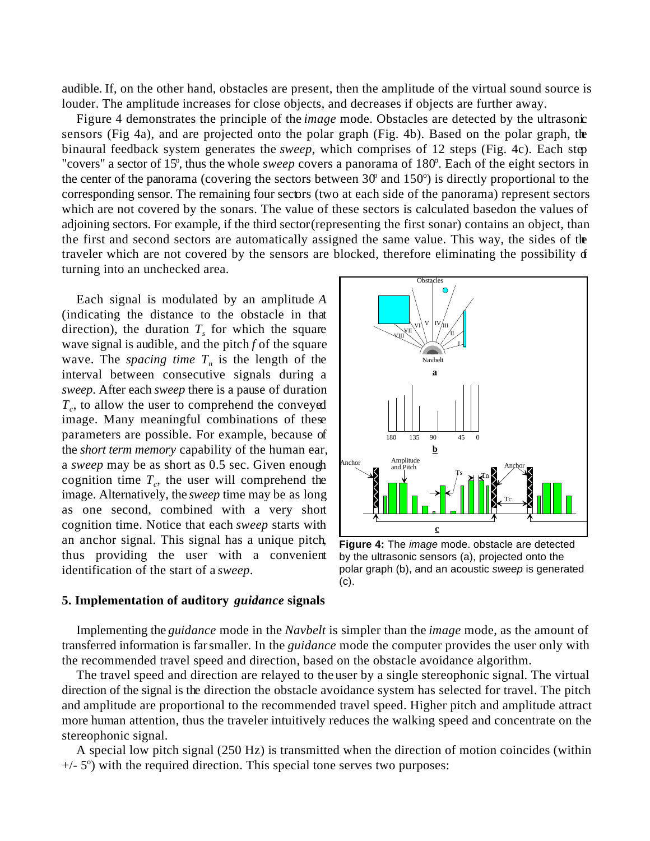audible. If, on the other hand, obstacles are present, then the amplitude of the virtual sound source is louder. The amplitude increases for close objects, and decreases if objects are further away.

Figure 4 demonstrates the principle of the *image* mode. Obstacles are detected by the ultrasonic sensors (Fig 4a), and are projected onto the polar graph (Fig. 4b). Based on the polar graph, the binaural feedback system generates the *sweep*, which comprises of 12 steps (Fig. 4c). Each step "covers" a sector of 15<sup>°</sup>, thus the whole *sweep* covers a panorama of 180<sup>°</sup>. Each of the eight sectors in the center of the panorama (covering the sectors between  $30^\circ$  and  $150^\circ$ ) is directly proportional to the corresponding sensor. The remaining four sectors (two at each side of the panorama) represent sectors which are not covered by the sonars. The value of these sectors is calculated based on the values of adjoining sectors. For example, if the third sector (representing the first sonar) contains an object, than the first and second sectors are automatically assigned the same value. This way, the sides of the traveler which are not covered by the sensors are blocked, therefore eliminating the possibility of turning into an unchecked area.

Each signal is modulated by an amplitude *A* (indicating the distance to the obstacle in that direction), the duration  $T<sub>s</sub>$  for which the square wave signal is audible, and the pitch *f* of the square wave. The *spacing time*  $T_n$  is the length of the interval between consecutive signals during a *sweep*. After each *sweep* there is a pause of duration  $T_c$ , to allow the user to comprehend the conveyed image. Many meaningful combinations of these parameters are possible. For example, because of the *short term memory* capability of the human ear, a *sweep* may be as short as 0.5 sec. Given enough cognition time  $T_c$ , the user will comprehend the image. Alternatively, the *sweep* time may be as long as one second, combined with a very short cognition time. Notice that each *sweep* starts with an anchor signal. This signal has a unique pitch, thus providing the user with a convenient identification of the start of a *sweep*.



**Figure 4:** The *image* mode. obstacle are detected by the ultrasonic sensors (a), projected onto the polar graph (b), and an acoustic *sweep* is generated (c).

#### **5. Implementation of auditory** *guidance* **signals**

Implementing the *guidance* mode in the *Navbelt* is simpler than the *image* mode, as the amount of transferred information is far smaller. In the *guidance* mode the computer provides the user only with the recommended travel speed and direction, based on the obstacle avoidance algorithm.

The travel speed and direction are relayed to the user by a single stereophonic signal. The virtual direction of the signal is the direction the obstacle avoidance system has selected for travel. The pitch and amplitude are proportional to the recommended travel speed. Higher pitch and amplitude attract more human attention, thus the traveler intuitively reduces the walking speed and concentrate on the stereophonic signal.

A special low pitch signal (250 Hz) is transmitted when the direction of motion coincides (within  $+/-$  5°) with the required direction. This special tone serves two purposes: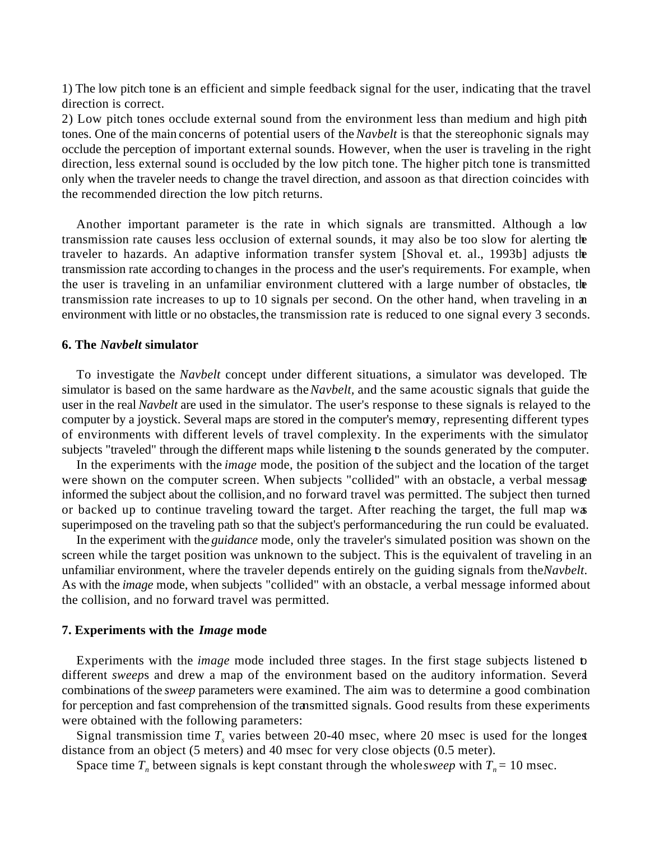1) The low pitch tone is an efficient and simple feedback signal for the user, indicating that the travel direction is correct.

2) Low pitch tones occlude external sound from the environment less than medium and high pitch tones. One of the main concerns of potential users of the *Navbelt* is that the stereophonic signals may occlude the perception of important external sounds. However, when the user is traveling in the right direction, less external sound is occluded by the low pitch tone. The higher pitch tone is transmitted only when the traveler needs to change the travel direction, and as soon as that direction coincides with the recommended direction the low pitch returns.

Another important parameter is the rate in which signals are transmitted. Although a low transmission rate causes less occlusion of external sounds, it may also be too slow for alerting the traveler to hazards. An adaptive information transfer system [Shoval et. al., 1993b] adjusts the transmission rate according to changes in the process and the user's requirements. For example, when the user is traveling in an unfamiliar environment cluttered with a large number of obstacles, the transmission rate increases to up to 10 signals per second. On the other hand, when traveling in an environment with little or no obstacles, the transmission rate is reduced to one signal every 3 seconds.

#### **6. The** *Navbelt* **simulator**

To investigate the *Navbelt* concept under different situations, a simulator was developed. The simulator is based on the same hardware as the *Navbelt,* and the same acoustic signals that guide the user in the real *Navbelt* are used in the simulator. The user's response to these signals is relayed to the computer by a joystick. Several maps are stored in the computer's memory, representing different types of environments with different levels of travel complexity. In the experiments with the simulator, subjects "traveled" through the different maps while listening to the sounds generated by the computer.

In the experiments with the *image* mode, the position of the subject and the location of the target were shown on the computer screen. When subjects "collided" with an obstacle, a verbal message informed the subject about the collision, and no forward travel was permitted. The subject then turned or backed up to continue traveling toward the target. After reaching the target, the full map was superimposed on the traveling path so that the subject's performance during the run could be evaluated.

In the experiment with the *guidance* mode, only the traveler's simulated position was shown on the screen while the target position was unknown to the subject. This is the equivalent of traveling in an unfamiliar environment, where the traveler depends entirely on the guiding signals from the *Navbelt*. As with the *image* mode, when subjects "collided" with an obstacle, a verbal message informed about the collision, and no forward travel was permitted.

#### **7. Experiments with the** *Image* **mode**

Experiments with the *image* mode included three stages. In the first stage subjects listened to different *sweep*s and drew a map of the environment based on the auditory information. Several combinations of the *sweep* parameters were examined. The aim was to determine a good combination for perception and fast comprehension of the transmitted signals. Good results from these experiments were obtained with the following parameters:

Signal transmission time  $T_s$  varies between 20-40 msec, where 20 msec is used for the longest distance from an object (5 meters) and 40 msec for very close objects (0.5 meter).

Space time  $T_n$  between signals is kept constant through the whole *sweep* with  $T_n = 10$  msec.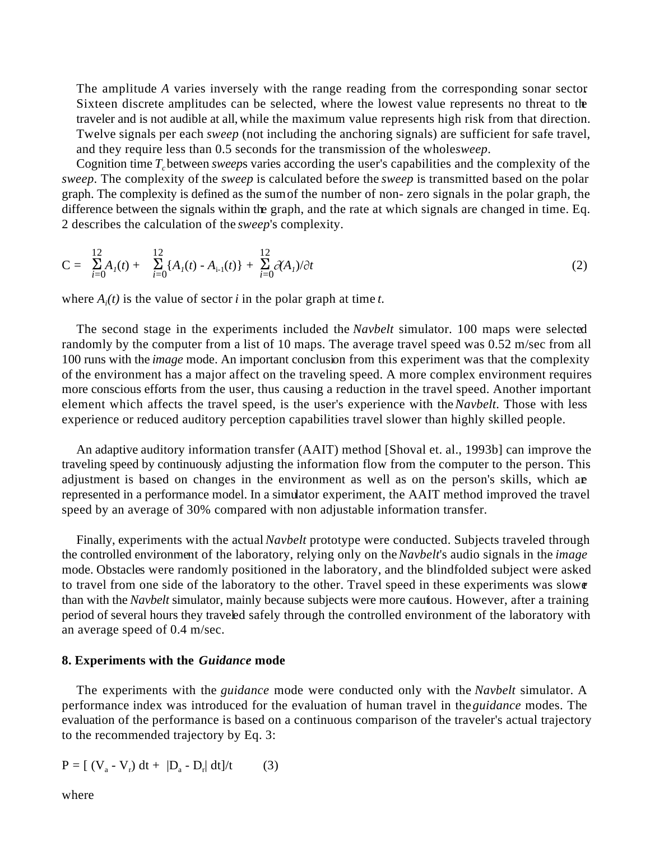The amplitude A varies inversely with the range reading from the corresponding sonar sector. Sixteen discrete amplitudes can be selected, where the lowest value represents no threat to the traveler and is not audible at all, while the maximum value represents high risk from that direction. Twelve signals per each *sweep* (not including the anchoring signals) are sufficient for safe travel, and they require less than 0.5 seconds for the transmission of the wholes *weep*.

Cognition time *Tc*between *sweep*s varies according the user's capabilities and the complexity of the *sweep*. The complexity of the *sweep* is calculated before the *sweep* is transmitted based on the polar graph. The complexity is defined as the sum of the number of non- zero signals in the polar graph, the difference between the signals within the graph, and the rate at which signals are changed in time. Eq. 2 describes the calculation of the *sweep*'s complexity.

$$
C = \sum_{i=0}^{12} A_i(t) + \sum_{i=0}^{12} \{A_i(t) - A_{i-1}(t)\} + \sum_{i=0}^{12} \partial(A_i) / \partial t
$$
 (2)

where  $A_i(t)$  is the value of sector *i* in the polar graph at time *t*.

The second stage in the experiments included the *Navbelt* simulator. 100 maps were selected randomly by the computer from a list of 10 maps. The average travel speed was 0.52 m/sec from all 100 runs with the *image* mode. An important conclusion from this experiment was that the complexity of the environment has a major affect on the traveling speed. A more complex environment requires more conscious efforts from the user, thus causing a reduction in the travel speed. Another important element which affects the travel speed, is the user's experience with the *Navbelt*. Those with less experience or reduced auditory perception capabilities travel slower than highly skilled people.

An adaptive auditory information transfer (AAIT) method [Shoval et. al., 1993b] can improve the traveling speed by continuously adjusting the information flow from the computer to the person. This adjustment is based on changes in the environment as well as on the person's skills, which are represented in a performance model. In a simulator experiment, the AAIT method improved the travel speed by an average of 30% compared with non adjustable information transfer.

Finally, experiments with the actual *Navbelt* prototype were conducted. Subjects traveled through the controlled environment of the laboratory, relying only on the *Navbelt*'s audio signals in the *image* mode. Obstacles were randomly positioned in the laboratory, and the blindfolded subject were asked to travel from one side of the laboratory to the other. Travel speed in these experiments was slower than with the *Navbelt* simulator, mainly because subjects were more cautious. However, after a training period of several hours they traveled safely through the controlled environment of the laboratory with an average speed of 0.4 m/sec.

# **8. Experiments with the** *Guidance* **mode**

The experiments with the *guidance* mode were conducted only with the *Navbelt* simulator. A performance index was introduced for the evaluation of human travel in the *guidance* modes. The evaluation of the performance is based on a continuous comparison of the traveler's actual trajectory to the recommended trajectory by Eq. 3:

$$
P = [ (V_a - V_r) dt + |D_a - D_r| dt]/t
$$
 (3)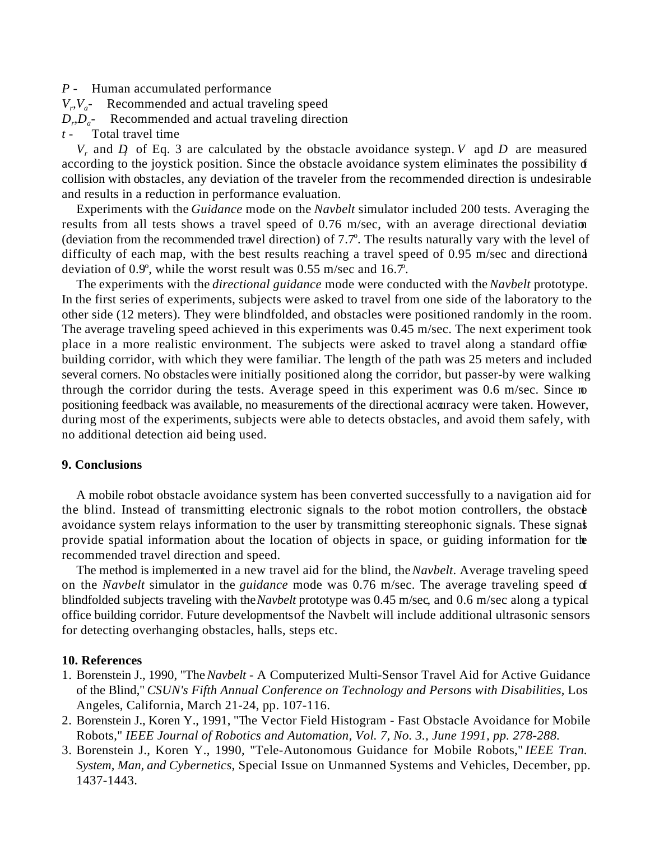#### *P -* Human accumulated performance

- $V_r$ ,  $V_a$ *-* Recommended and actual traveling speed
- $D_r D_a$  Recommended and actual traveling direction

# *t -* Total travel time

 $V_r$  and  $D_r$  of Eq. 3 are calculated by the obstacle avoidance system. *V* and D are measured according to the joystick position. Since the obstacle avoidance system eliminates the possibility of collision with obstacles, any deviation of the traveler from the recommended direction is undesirable and results in a reduction in performance evaluation.

Experiments with the *Guidance* mode on the *Navbelt* simulator included 200 tests. Averaging the results from all tests shows a travel speed of 0.76 m/sec, with an average directional deviation (deviation from the recommended travel direction) of  $7.7^\circ$ . The results naturally vary with the level of difficulty of each map, with the best results reaching a travel speed of 0.95 m/sec and directional deviation of  $0.9^{\circ}$ , while the worst result was  $0.55$  m/sec and  $16.7$ .

The experiments with the *directional guidance* mode were conducted with the *Navbelt* prototype. In the first series of experiments, subjects were asked to travel from one side of the laboratory to the other side (12 meters). They were blindfolded, and obstacles were positioned randomly in the room. The average traveling speed achieved in this experiments was 0.45 m/sec. The next experiment took place in a more realistic environment. The subjects were asked to travel along a standard office building corridor, with which they were familiar. The length of the path was 25 meters and included several corners. No obstacles were initially positioned along the corridor, but passer-by were walking through the corridor during the tests. Average speed in this experiment was 0.6 m/sec. Since no positioning feedback was available, no measurements of the directional accuracy were taken. However, during most of the experiments, subjects were able to detects obstacles, and avoid them safely, with no additional detection aid being used.

# **9. Conclusions**

A mobile robot obstacle avoidance system has been converted successfully to a navigation aid for the blind. Instead of transmitting electronic signals to the robot motion controllers, the obstace avoidance system relays information to the user by transmitting stereophonic signals. These signals provide spatial information about the location of objects in space, or guiding information for the recommended travel direction and speed.

The method is implemented in a new travel aid for the blind, the *Navbelt*. Average traveling speed on the *Navbelt* simulator in the *guidance* mode was 0.76 m/sec. The average traveling speed of blindfolded subjects traveling with the *Navbelt* prototype was 0.45 m/sec, and 0.6 m/sec along a typical office building corridor. Future developments of the Navbelt will include additional ultrasonic sensors for detecting overhanging obstacles, halls, steps etc.

# **10. References**

- 1. Borenstein J., 1990, "The *Navbelt* A Computerized Multi-Sensor Travel Aid for Active Guidance of the Blind," *CSUN's Fifth Annual Conference on Technology and Persons with Disabilities*, Los Angeles, California, March 21-24, pp. 107-116.
- 2. Borenstein J., Koren Y., 1991, "The Vector Field Histogram Fast Obstacle Avoidance for Mobile Robots," *IEEE Journal of Robotics and Automation, Vol. 7, No. 3., June 1991, pp. 278-288.*
- 3. Borenstein J., Koren Y., 1990, "Tele-Autonomous Guidance for Mobile Robots," *IEEE Tran. System, Man, and Cybernetics*, Special Issue on Unmanned Systems and Vehicles, December, pp. 1437-1443.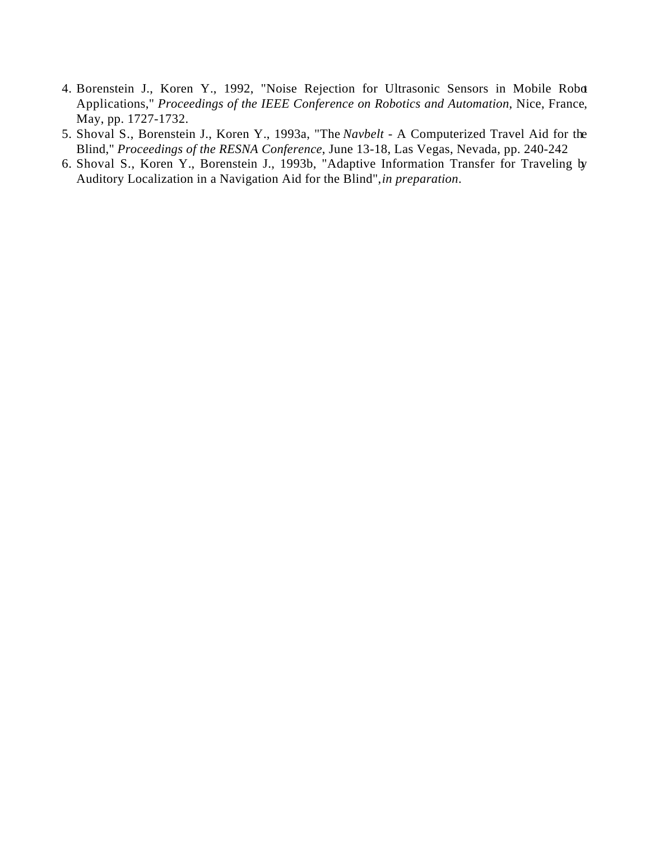- 4. Borenstein J., Koren Y., 1992, "Noise Rejection for Ultrasonic Sensors in Mobile Robot Applications," *Proceedings of the IEEE Conference on Robotics and Automation*, Nice, France, May, pp. 1727-1732.
- 5. Shoval S., Borenstein J., Koren Y., 1993a, "The *Navbelt* A Computerized Travel Aid for the Blind," *Proceedings of the RESNA Conference*, June 13-18, Las Vegas, Nevada, pp. 240-242
- 6. Shoval S., Koren Y., Borenstein J., 1993b, "Adaptive Information Transfer for Traveling by Auditory Localization in a Navigation Aid for the Blind", *in preparation*.